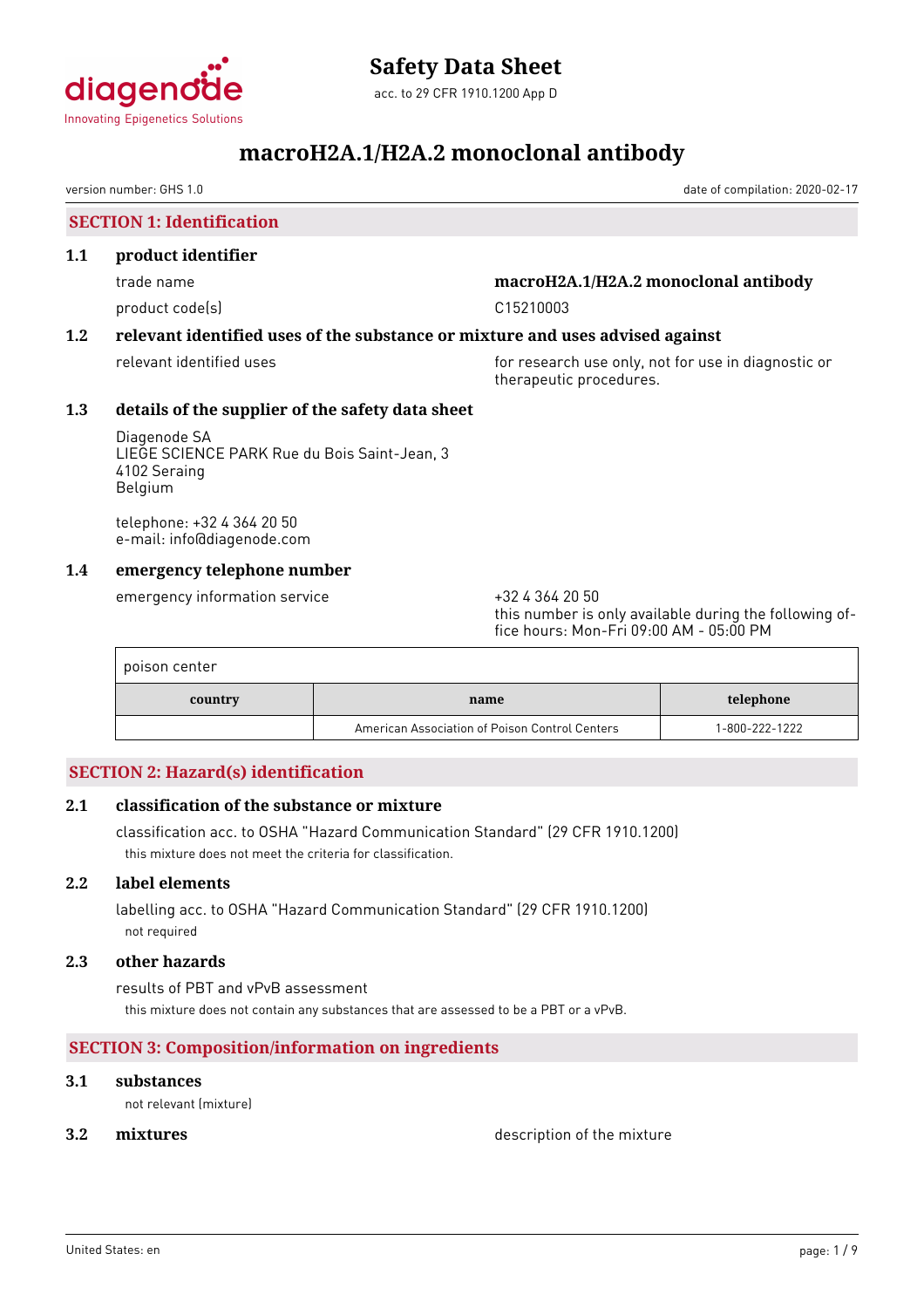

acc. to 29 CFR 1910.1200 App D

# **macroH2A.1/H2A.2 monoclonal antibody**

version number: GHS 1.0 date of compilation: 2020-02-17

### **SECTION 1: Identification**

### **1.1 product identifier**

product code(s) and contact to contact the contact of the contact of the contact of the contact of the contact of the contact of the contact of the contact of the contact of the contact of the contact of the contact of the

### trade name **macroH2A.1/H2A.2 monoclonal antibody**

### **1.2 relevant identified uses of the substance or mixture and uses advised against**

relevant identified uses **for research use only, not for use in diagnostic or** therapeutic procedures.

### **1.3 details of the supplier of the safety data sheet**

Diagenode SA LIEGE SCIENCE PARK Rue du Bois Saint-Jean, 3 4102 Seraing Belgium

telephone: +32 4 364 20 50 e-mail: info@diagenode.com

### **1.4 emergency telephone number**

emergency information service  $+3243642050$ 

this number is only available during the following office hours: Mon-Fri 09:00 AM - 05:00 PM

| poison center |                                                |                |
|---------------|------------------------------------------------|----------------|
| country       | name                                           | telephone      |
|               | American Association of Poison Control Centers | 1-800-222-1222 |

### **SECTION 2: Hazard(s) identification**

### **2.1 classification of the substance or mixture**

classification acc. to OSHA "Hazard Communication Standard" (29 CFR 1910.1200) this mixture does not meet the criteria for classification.

### **2.2 label elements**

labelling acc. to OSHA "Hazard Communication Standard" (29 CFR 1910.1200) not required

### **2.3 other hazards**

results of PBT and vPvB assessment this mixture does not contain any substances that are assessed to be a PBT or a vPvB.

### **SECTION 3: Composition/information on ingredients**

### **3.1 substances**

not relevant (mixture)

**3.2 <b>mixtures** description of the mixture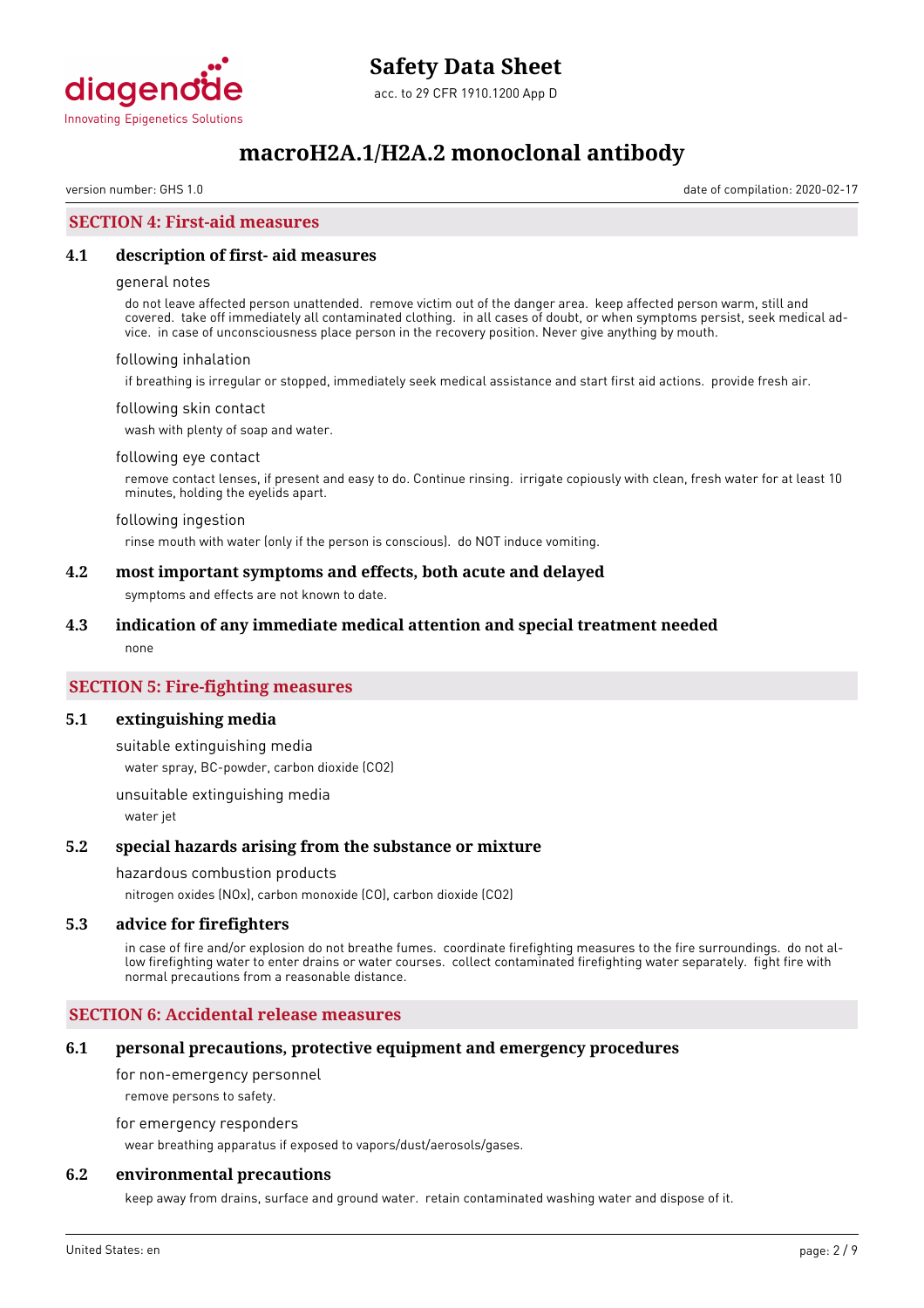

version number: GHS 1.0 date of compilation: 2020-02-17

### **SECTION 4: First-aid measures**

### **4.1 description of first- aid measures**

### general notes

do not leave affected person unattended. remove victim out of the danger area. keep affected person warm, still and covered. take off immediately all contaminated clothing. in all cases of doubt, or when symptoms persist, seek medical advice. in case of unconsciousness place person in the recovery position. Never give anything by mouth.

#### following inhalation

if breathing is irregular or stopped, immediately seek medical assistance and start first aid actions. provide fresh air.

#### following skin contact

wash with plenty of soap and water.

#### following eye contact

remove contact lenses, if present and easy to do. Continue rinsing. irrigate copiously with clean, fresh water for at least 10 minutes, holding the eyelids apart.

#### following ingestion

rinse mouth with water (only if the person is conscious). do NOT induce vomiting.

### **4.2 most important symptoms and effects, both acute and delayed**

symptoms and effects are not known to date.

### **4.3 indication of any immediate medical attention and special treatment needed**

none

### **SECTION 5: Fire-fighting measures**

### **5.1 extinguishing media**

suitable extinguishing media water spray, BC-powder, carbon dioxide (CO2)

unsuitable extinguishing media water jet

### **5.2 special hazards arising from the substance or mixture**

#### hazardous combustion products

nitrogen oxides (NOx), carbon monoxide (CO), carbon dioxide (CO2)

### **5.3 advice for firefighters**

in case of fire and/or explosion do not breathe fumes. coordinate firefighting measures to the fire surroundings. do not allow firefighting water to enter drains or water courses. collect contaminated firefighting water separately. fight fire with normal precautions from a reasonable distance.

### **SECTION 6: Accidental release measures**

### **6.1 personal precautions, protective equipment and emergency procedures**

for non-emergency personnel

remove persons to safety.

for emergency responders

wear breathing apparatus if exposed to vapors/dust/aerosols/gases.

### **6.2 environmental precautions**

keep away from drains, surface and ground water. retain contaminated washing water and dispose of it.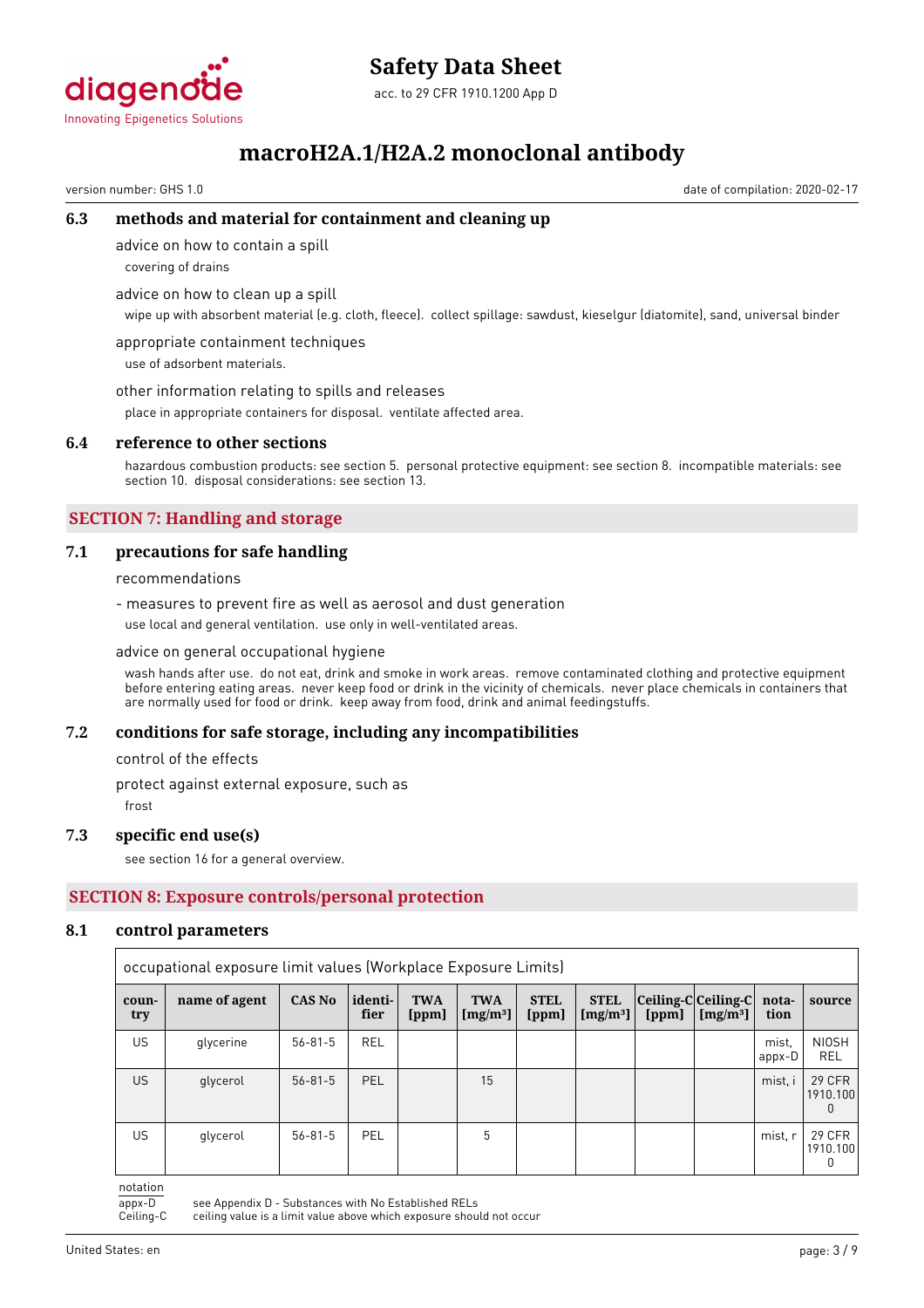

# **Safety Data Sheet**

acc. to 29 CFR 1910.1200 App D

# **macroH2A.1/H2A.2 monoclonal antibody**

version number: GHS 1.0 date of compilation: 2020-02-17

### **6.3 methods and material for containment and cleaning up**

advice on how to contain a spill

covering of drains

advice on how to clean up a spill

wipe up with absorbent material (e.g. cloth, fleece). collect spillage: sawdust, kieselgur (diatomite), sand, universal binder

appropriate containment techniques use of adsorbent materials.

other information relating to spills and releases

place in appropriate containers for disposal. ventilate affected area.

### **6.4 reference to other sections**

hazardous combustion products: see section 5. personal protective equipment: see section 8. incompatible materials: see section 10. disposal considerations: see section 13.

### **SECTION 7: Handling and storage**

### **7.1 precautions for safe handling**

recommendations

- measures to prevent fire as well as aerosol and dust generation

use local and general ventilation. use only in well-ventilated areas.

### advice on general occupational hygiene

wash hands after use. do not eat, drink and smoke in work areas. remove contaminated clothing and protective equipment before entering eating areas. never keep food or drink in the vicinity of chemicals. never place chemicals in containers that are normally used for food or drink. keep away from food, drink and animal feedingstuffs.

### **7.2 conditions for safe storage, including any incompatibilities**

control of the effects

protect against external exposure, such as

frost

### **7.3 specific end use(s)**

see section 16 for a general overview.

### **SECTION 8: Exposure controls/personal protection**

### **8.1 control parameters**

|              | occupational exposure limit values (Workplace Exposure Limits) |               |                 |                     |                           |                      |                            |       |                                                 |                 |                                |
|--------------|----------------------------------------------------------------|---------------|-----------------|---------------------|---------------------------|----------------------|----------------------------|-------|-------------------------------------------------|-----------------|--------------------------------|
| coun-<br>try | name of agent                                                  | <b>CAS No</b> | identi-<br>fier | <b>TWA</b><br>[ppm] | <b>TWA</b><br>[ $mg/m3$ ] | <b>STEL</b><br>[ppm] | <b>STEL</b><br>[ $mg/m3$ ] | [ppm] | $ Ceiling-C Ceiling-C $<br>[mg/m <sup>3</sup> ] | nota-<br>tion   | source                         |
| <b>US</b>    | glycerine                                                      | $56 - 81 - 5$ | <b>REL</b>      |                     |                           |                      |                            |       |                                                 | mist.<br>appx-D | <b>NIOSH</b><br>REL            |
| US.          | glycerol                                                       | $56 - 81 - 5$ | PEL             |                     | 15                        |                      |                            |       |                                                 | mist, i         | <b>29 CFR</b><br>1910.100<br>0 |
| US           | glycerol                                                       | $56 - 81 - 5$ | PEL             |                     | 5                         |                      |                            |       |                                                 | mist, r         | <b>29 CFR</b><br>1910.100<br>0 |

notation

appx-D see Appendix D - Substances with No Established RELs<br>Ceiling-C ceiling value is a limit value above which exposure shou

ceiling value is a limit value above which exposure should not occur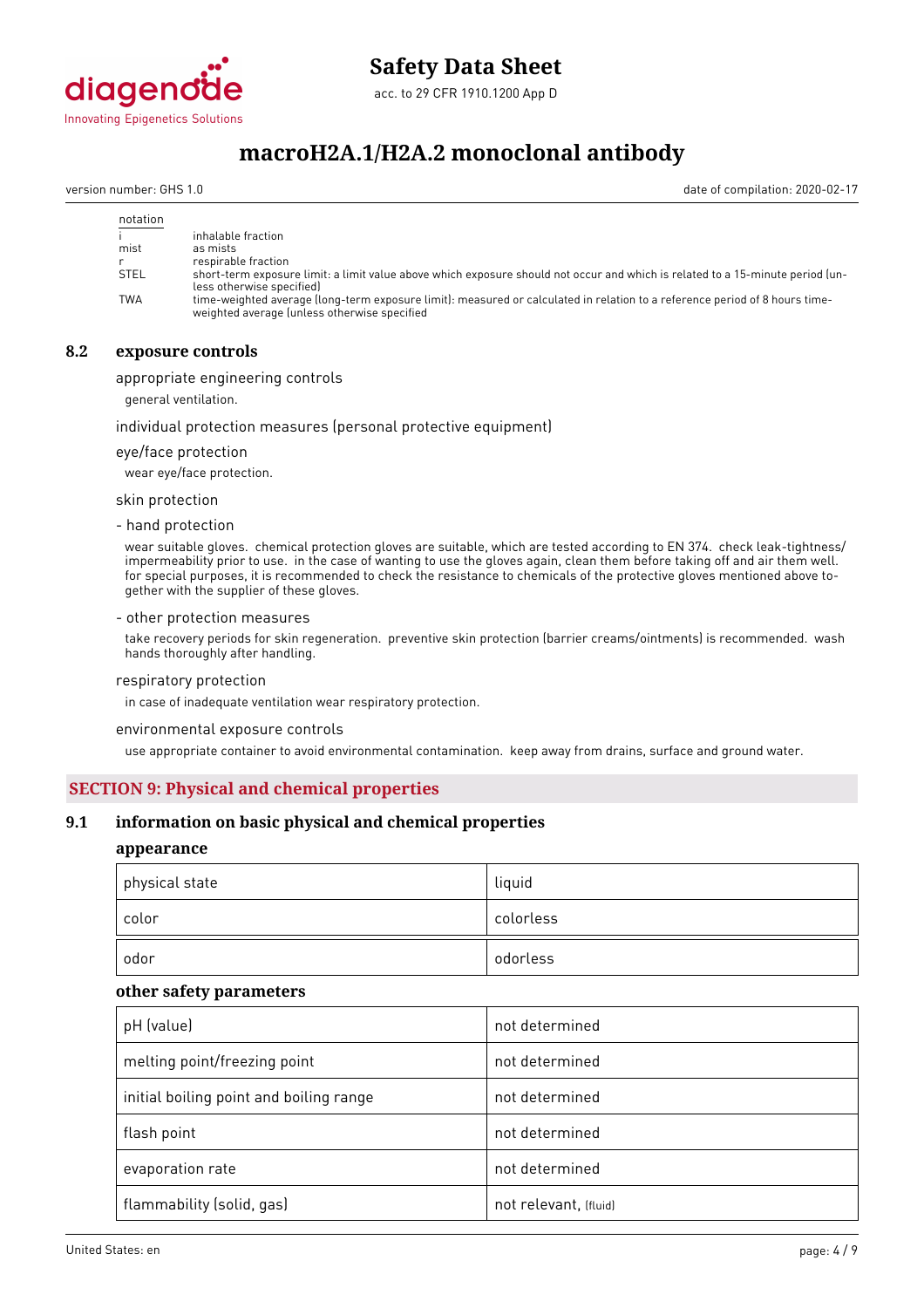

# **Safety Data Sheet**

acc. to 29 CFR 1910.1200 App D

# **macroH2A.1/H2A.2 monoclonal antibody**

version number: GHS 1.0 date of compilation: 2020-02-17

| notation    |                                                                                                                                                                             |
|-------------|-----------------------------------------------------------------------------------------------------------------------------------------------------------------------------|
|             | inhalable fraction                                                                                                                                                          |
| mist        | as mists                                                                                                                                                                    |
|             | respirable fraction                                                                                                                                                         |
| <b>STEL</b> | short-term exposure limit: a limit value above which exposure should not occur and which is related to a 15-minute period (un-<br>less otherwise specified)                 |
| TWA         | time-weighted average (long-term exposure limit): measured or calculated in relation to a reference period of 8 hours time-<br>weighted average (unless otherwise specified |

### **8.2 exposure controls**

appropriate engineering controls

general ventilation.

### individual protection measures (personal protective equipment)

eye/face protection

wear eye/face protection.

skin protection

- hand protection

wear suitable gloves. chemical protection gloves are suitable, which are tested according to EN 374. check leak-tightness/ impermeability prior to use. in the case of wanting to use the gloves again, clean them before taking off and air them well. for special purposes, it is recommended to check the resistance to chemicals of the protective gloves mentioned above together with the supplier of these gloves.

### - other protection measures

take recovery periods for skin regeneration. preventive skin protection (barrier creams/ointments) is recommended. wash hands thoroughly after handling.

#### respiratory protection

in case of inadequate ventilation wear respiratory protection.

environmental exposure controls

use appropriate container to avoid environmental contamination. keep away from drains, surface and ground water.

### **SECTION 9: Physical and chemical properties**

### **9.1 information on basic physical and chemical properties**

### **appearance**

| physical state | liquid    |
|----------------|-----------|
| color          | colorless |
| odor           | odorless  |

### **other safety parameters**

| pH (value)                              | not determined        |
|-----------------------------------------|-----------------------|
| melting point/freezing point            | not determined        |
| initial boiling point and boiling range | not determined        |
| flash point                             | not determined        |
| evaporation rate                        | not determined        |
| flammability (solid, gas)               | not relevant, (fluid) |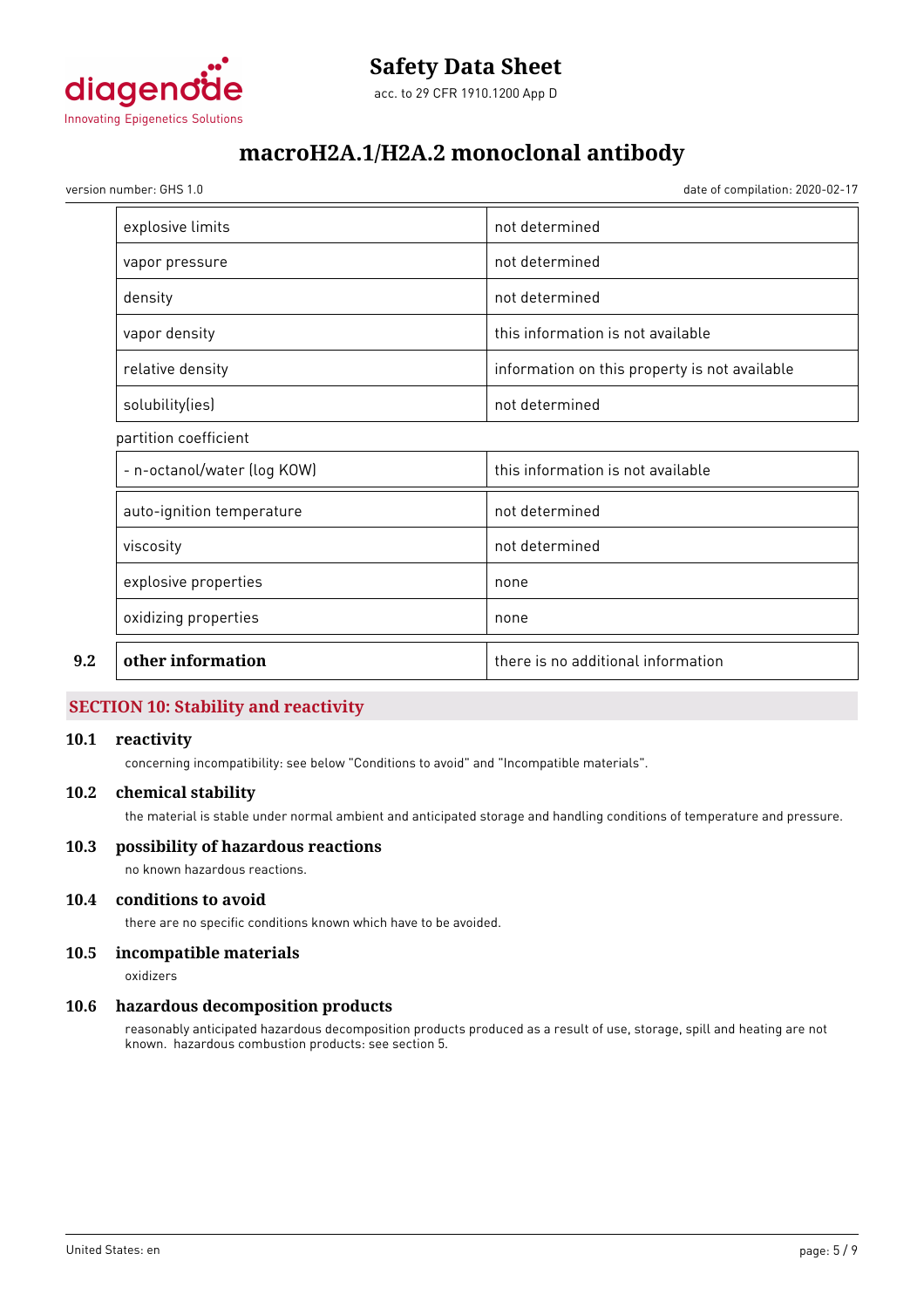

version number: GHS 1.0 date of compilation: 2020-02-17

|     | explosive limits            | not determined                                |
|-----|-----------------------------|-----------------------------------------------|
|     | vapor pressure              | not determined                                |
|     | density                     | not determined                                |
|     | vapor density               | this information is not available             |
|     | relative density            | information on this property is not available |
|     | solubility(ies)             | not determined                                |
|     | partition coefficient       |                                               |
|     | - n-octanol/water (log KOW) | this information is not available             |
|     | auto-ignition temperature   | not determined                                |
|     | viscosity                   | not determined                                |
|     | explosive properties        | none                                          |
|     | oxidizing properties        | none                                          |
| 9.2 | other information           | there is no additional information            |

### **SECTION 10: Stability and reactivity**

### **10.1 reactivity**

concerning incompatibility: see below "Conditions to avoid" and "Incompatible materials".

### **10.2 chemical stability**

the material is stable under normal ambient and anticipated storage and handling conditions of temperature and pressure.

### **10.3 possibility of hazardous reactions**

no known hazardous reactions.

### **10.4 conditions to avoid**

there are no specific conditions known which have to be avoided.

### **10.5 incompatible materials**

oxidizers

### **10.6 hazardous decomposition products**

reasonably anticipated hazardous decomposition products produced as a result of use, storage, spill and heating are not known. hazardous combustion products: see section 5.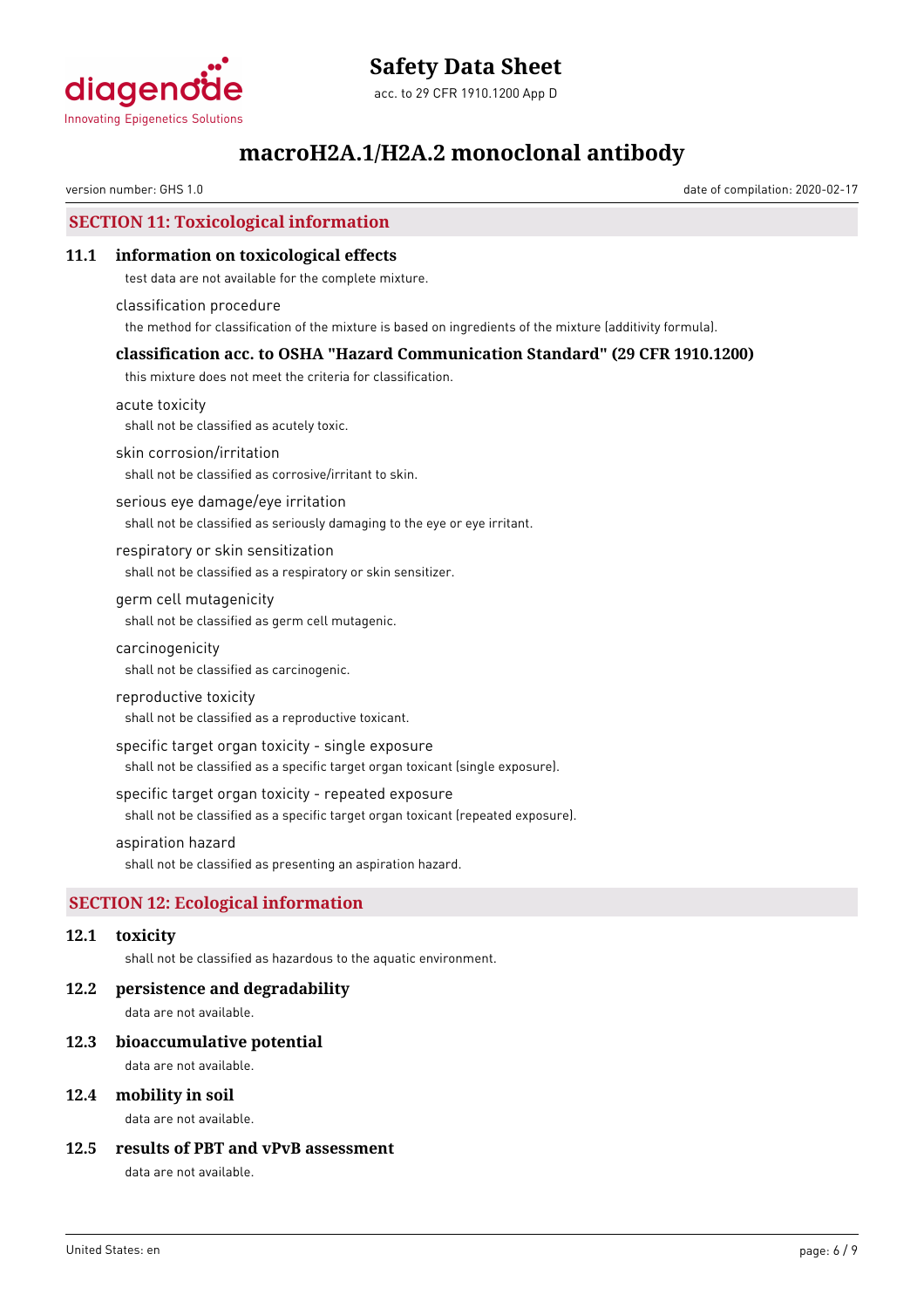

version number: GHS 1.0 date of compilation: 2020-02-17

# **SECTION 11: Toxicological information**

### **11.1 information on toxicological effects**

test data are not available for the complete mixture.

classification procedure the method for classification of the mixture is based on ingredients of the mixture (additivity formula).

## **classification acc. to OSHA "Hazard Communication Standard" (29 CFR 1910.1200)**

this mixture does not meet the criteria for classification.

acute toxicity shall not be classified as acutely toxic.

skin corrosion/irritation

shall not be classified as corrosive/irritant to skin.

serious eye damage/eye irritation shall not be classified as seriously damaging to the eye or eye irritant.

respiratory or skin sensitization shall not be classified as a respiratory or skin sensitizer.

germ cell mutagenicity shall not be classified as germ cell mutagenic.

carcinogenicity

shall not be classified as carcinogenic.

### reproductive toxicity

shall not be classified as a reproductive toxicant.

specific target organ toxicity - single exposure

shall not be classified as a specific target organ toxicant (single exposure).

specific target organ toxicity - repeated exposure

shall not be classified as a specific target organ toxicant (repeated exposure).

### aspiration hazard

shall not be classified as presenting an aspiration hazard.

# **SECTION 12: Ecological information**

## **12.1 toxicity**

shall not be classified as hazardous to the aquatic environment.

## **12.2 persistence and degradability**

data are not available.

### **12.3 bioaccumulative potential**

data are not available.

### **12.4 mobility in soil**

data are not available.

### **12.5 results of PBT and vPvB assessment**

data are not available.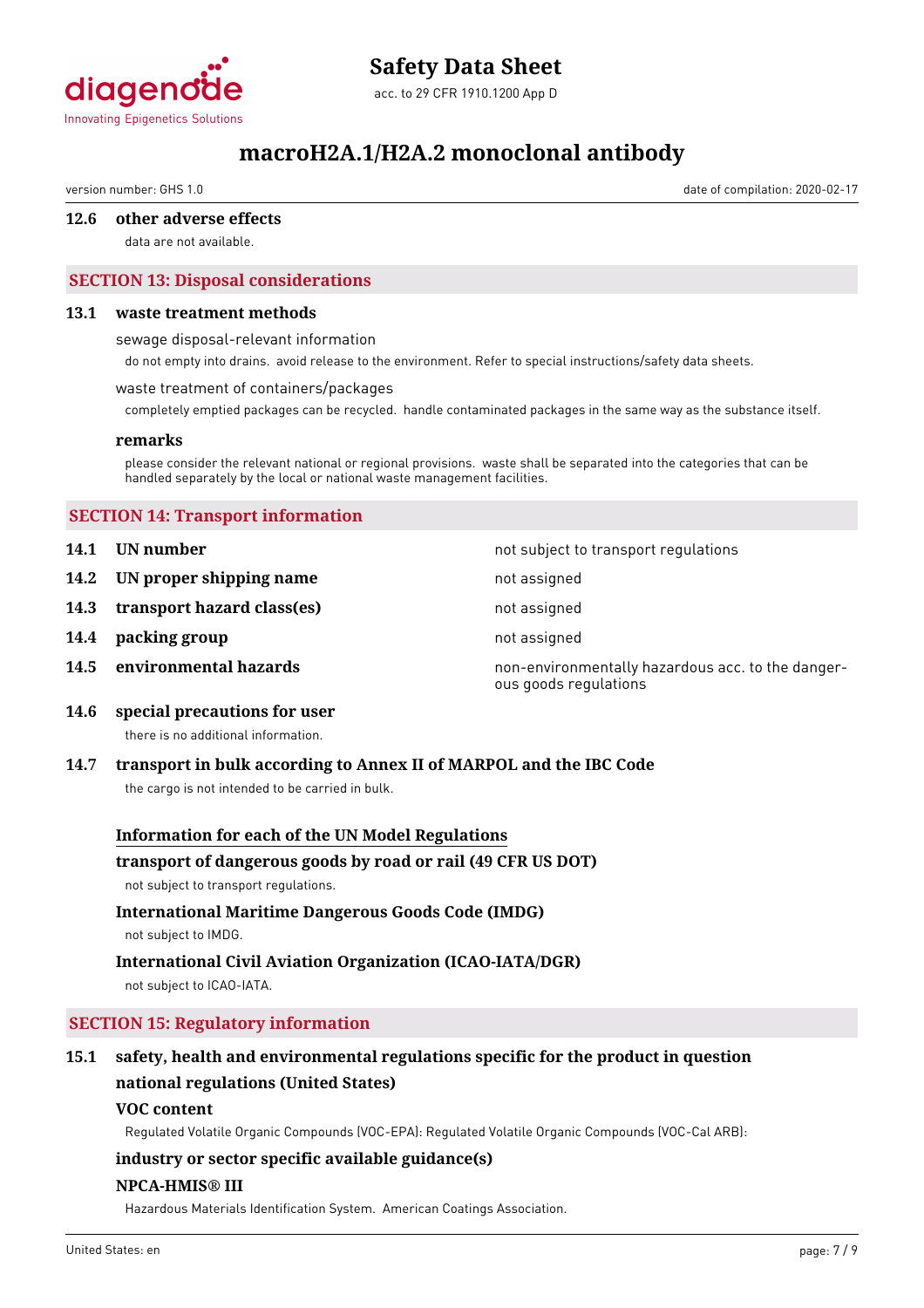

# **Safety Data Sheet**

acc. to 29 CFR 1910.1200 App D

# **macroH2A.1/H2A.2 monoclonal antibody**

version number: GHS 1.0 date of compilation: 2020-02-17

### **12.6 other adverse effects**

data are not available.

# **SECTION 13: Disposal considerations**

### **13.1 waste treatment methods**

sewage disposal-relevant information

do not empty into drains. avoid release to the environment. Refer to special instructions/safety data sheets.

### waste treatment of containers/packages

completely emptied packages can be recycled. handle contaminated packages in the same way as the substance itself.

### **remarks**

please consider the relevant national or regional provisions. waste shall be separated into the categories that can be handled separately by the local or national waste management facilities.

### **SECTION 14: Transport information**

- **14.1 UN number 14.1 UN** number
- **14.2 IN proper shipping name** not assigned
- **14.3 transport hazard class(es)** not assigned
- **14.4 packing group not assigned**
- 

**14.5 environmental hazards non-environmentally hazardous acc. to the danger**ous goods regulations

**14.6 special precautions for user**

there is no additional information.

### **14.7 transport in bulk according to Annex II of MARPOL and the IBC Code**

the cargo is not intended to be carried in bulk.

### **Information for each of the UN Model Regulations**

### **transport of dangerous goods by road or rail (49 CFR US DOT)**

not subject to transport regulations.

# **International Maritime Dangerous Goods Code (IMDG)**

not subject to IMDG.

# **International Civil Aviation Organization (ICAO-IATA/DGR)**

not subject to ICAO-IATA.

### **SECTION 15: Regulatory information**

# **15.1 safety, health and environmental regulations specific for the product in question national regulations (United States)**

### **VOC content**

Regulated Volatile Organic Compounds (VOC-EPA): Regulated Volatile Organic Compounds (VOC-Cal ARB):

### **industry or sector specific available guidance(s)**

### **NPCA-HMIS® III**

Hazardous Materials Identification System. American Coatings Association.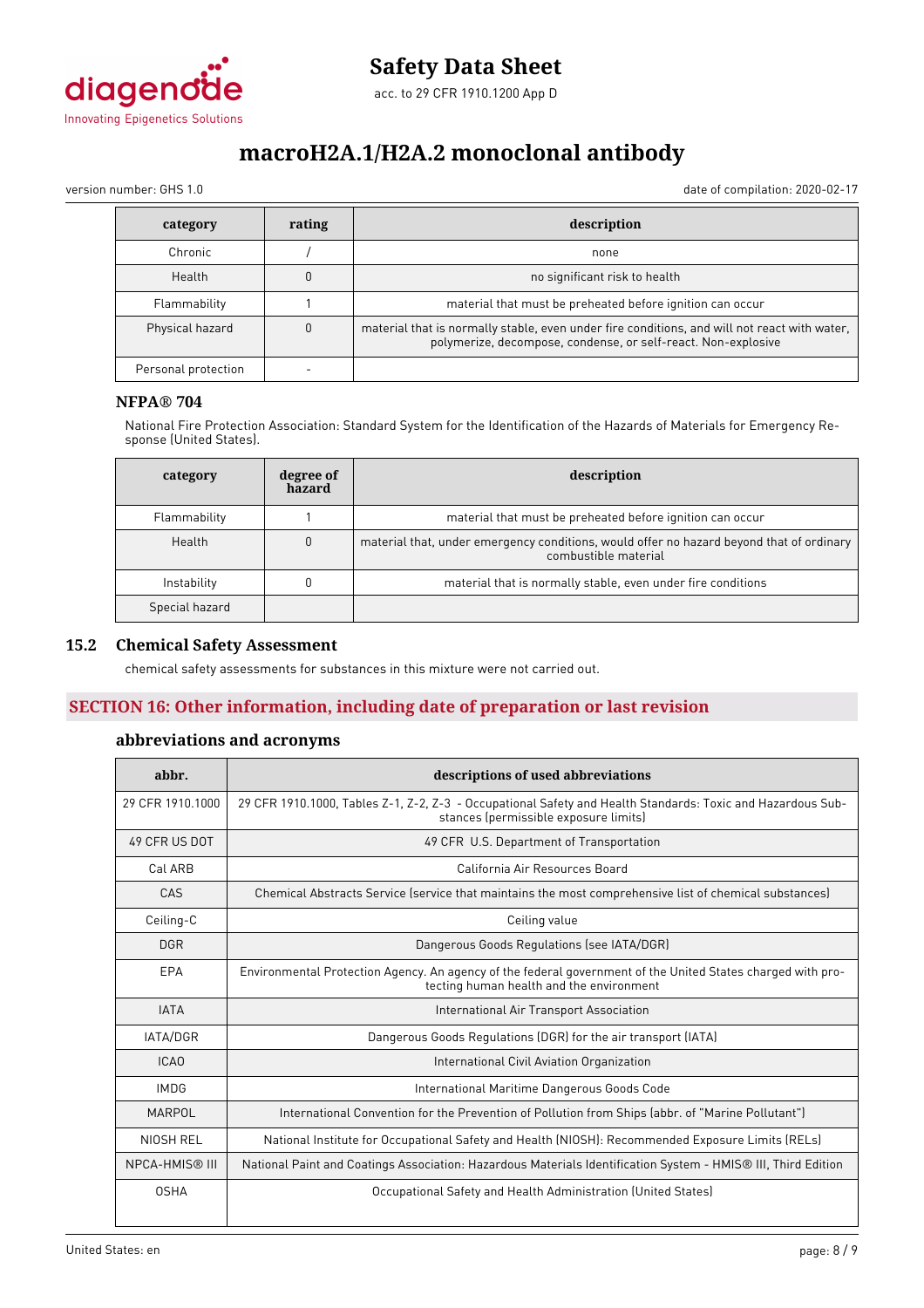

version number: GHS 1.0 date of compilation: 2020-02-17

| category            | rating | description                                                                                                                                                   |
|---------------------|--------|---------------------------------------------------------------------------------------------------------------------------------------------------------------|
| Chronic             |        | none                                                                                                                                                          |
| Health              |        | no significant risk to health                                                                                                                                 |
| Flammability        |        | material that must be preheated before ignition can occur                                                                                                     |
| Physical hazard     | 0      | material that is normally stable, even under fire conditions, and will not react with water,<br>polymerize, decompose, condense, or self-react. Non-explosive |
| Personal protection |        |                                                                                                                                                               |

### **NFPA® 704**

National Fire Protection Association: Standard System for the Identification of the Hazards of Materials for Emergency Response (United States).

| category       | degree of<br>hazard | description                                                                                                      |
|----------------|---------------------|------------------------------------------------------------------------------------------------------------------|
| Flammability   |                     | material that must be preheated before ignition can occur                                                        |
| Health         |                     | material that, under emergency conditions, would offer no hazard beyond that of ordinary<br>combustible material |
| Instability    |                     | material that is normally stable, even under fire conditions                                                     |
| Special hazard |                     |                                                                                                                  |

### **15.2 Chemical Safety Assessment**

chemical safety assessments for substances in this mixture were not carried out.

### **SECTION 16: Other information, including date of preparation or last revision**

### **abbreviations and acronyms**

| abbr.                 | descriptions of used abbreviations                                                                                                                      |
|-----------------------|---------------------------------------------------------------------------------------------------------------------------------------------------------|
| 29 CFR 1910.1000      | 29 CFR 1910.1000, Tables Z-1, Z-2, Z-3 - Occupational Safety and Health Standards: Toxic and Hazardous Sub-<br>stances (permissible exposure limits)    |
| 49 CFR US DOT         | 49 CFR U.S. Department of Transportation                                                                                                                |
| Cal ARB               | California Air Resources Board                                                                                                                          |
| CAS                   | Chemical Abstracts Service (service that maintains the most comprehensive list of chemical substances)                                                  |
| Ceiling-C             | Ceiling value                                                                                                                                           |
| <b>DGR</b>            | Dangerous Goods Regulations (see IATA/DGR)                                                                                                              |
| EPA                   | Environmental Protection Agency. An agency of the federal government of the United States charged with pro-<br>tecting human health and the environment |
| <b>IATA</b>           | International Air Transport Association                                                                                                                 |
| <b>IATA/DGR</b>       | Dangerous Goods Regulations (DGR) for the air transport (IATA)                                                                                          |
| ICA <sub>0</sub>      | International Civil Aviation Organization                                                                                                               |
| <b>IMDG</b>           | International Maritime Dangerous Goods Code                                                                                                             |
| MARPOL                | International Convention for the Prevention of Pollution from Ships (abbr. of "Marine Pollutant")                                                       |
| NIOSH REL             | National Institute for Occupational Safety and Health (NIOSH): Recommended Exposure Limits (RELs)                                                       |
| <b>NPCA-HMIS® III</b> | National Paint and Coatings Association: Hazardous Materials Identification System - HMIS® III, Third Edition                                           |
| <b>OSHA</b>           | Occupational Safety and Health Administration (United States)                                                                                           |